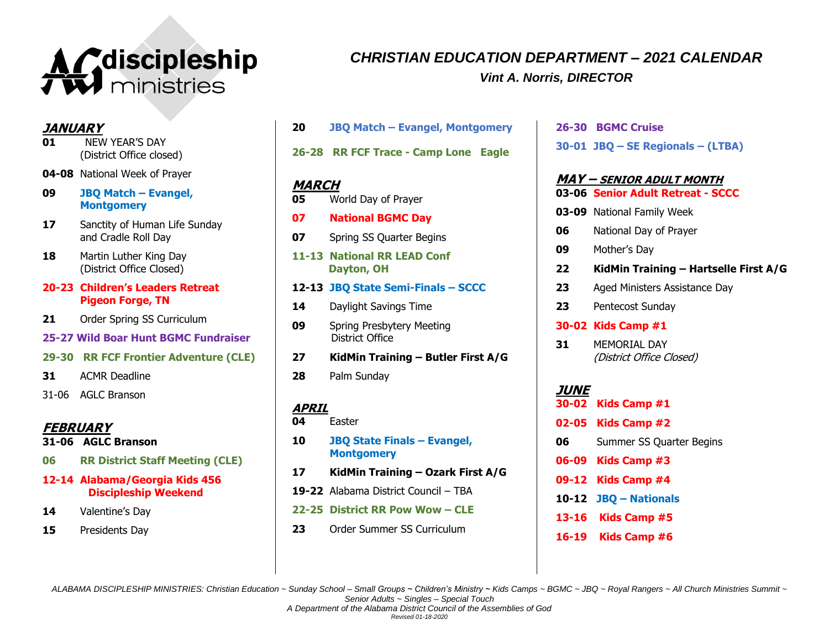

# *CHRISTIAN EDUCATION DEPARTMENT – 2021 CALENDAR*

*Vint A. Norris, DIRECTOR*

## **JANUARY**

- **01** NEW YEAR'S DAY (District Office closed)
- **04-08** National Week of Prayer
- **09 JBQ Match – Evangel, Montgomery**
- **17** Sanctity of Human Life Sunday and Cradle Roll Day
- **18** Martin Luther King Day (District Office Closed)
- **20-23 Children's Leaders Retreat Pigeon Forge, TN**
- **21** Order Spring SS Curriculum
- **25-27 Wild Boar Hunt BGMC Fundraiser**
- **29-30 RR FCF Frontier Adventure (CLE)**
- **31** ACMR Deadline
- 31-06 AGLC Branson

## **FEBRUARY**

- **31-06 AGLC Branson**
- **06 RR District Staff Meeting (CLE)**
- **12-14 Alabama/Georgia Kids 456 Discipleship Weekend**
- **14** Valentine's Day
- **15** Presidents Day

**20 JBQ Match – Evangel, Montgomery**

**26-28 RR FCF Trace - Camp Lone Eagle**

## **MARCH**

- **05** World Day of Prayer **07 National BGMC Day 07** Spring SS Quarter Begins **11-13 National RR LEAD Conf Dayton, OH 12-13 JBQ State Semi-Finals – SCCC 14** Daylight Savings Time
- **09** Spring Presbytery Meeting District Office
- **27 KidMin Training – Butler First A/G**
- **28** Palm Sunday

## **APRIL**

- **04** Easter
- **10 JBQ State Finals – Evangel, Montgomery**
- **17 KidMin Training – Ozark First A/G**
- **19-22** Alabama District Council TBA
- **22-25 District RR Pow Wow – CLE**
- **23** Order Summer SS Curriculum

**26-30 BGMC Cruise** 

**30-01 JBQ – SE Regionals – (LTBA)**

## **MAY – SENIOR ADULT MONTH**

|             | 03-06 Senior Adult Retreat - SCCC               |
|-------------|-------------------------------------------------|
|             | 03-09 National Family Week                      |
| 06          | National Day of Prayer                          |
| 09          | Mother's Day                                    |
| 22 —        | KidMin Training - Hartselle First A/G           |
| 23 —        | Aged Ministers Assistance Day                   |
| 23 —        | Pentecost Sunday                                |
|             | 30-02 Kids Camp #1                              |
| 31          | <b>MEMORIAL DAY</b><br>(District Office Closed) |
| <u>JUNE</u> | 30-02 Kids Camp #1                              |
|             | 02-05 Kids Camp #2                              |
| 06          | Summer SS Quarter Begins                        |
|             | 06-09 Kids Camp #3                              |
|             | 09-12 Kids Camp #4                              |
|             | 10-12 JBQ - Nationals                           |
|             | 13-16 Kids Camp #5                              |
|             | 16-19 Kids Camp #6                              |

*ALABAMA DISCIPLESHIP MINISTRIES: Christian Education ~ Sunday School – Small Groups ~ Children's Ministry ~ Kids Camps ~ BGMC ~ JBQ ~ Royal Rangers ~ All Church Ministries Summit ~* 

*Senior Adults ~ Singles – Special Touch*

*Revised 01-18-2020*